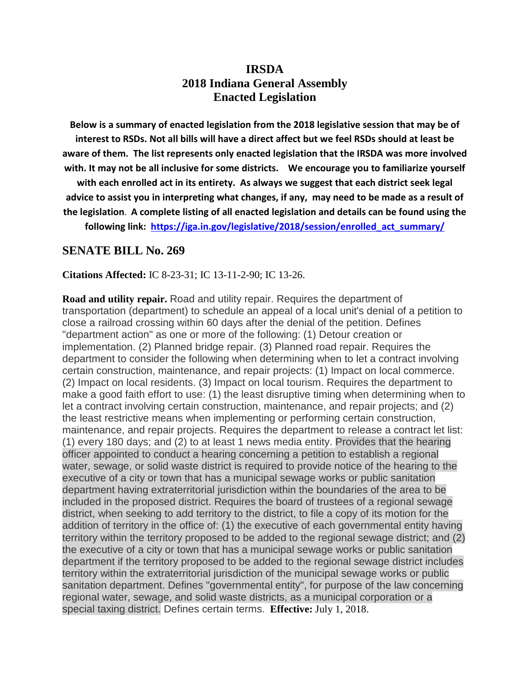# **IRSDA 2018 Indiana General Assembly Enacted Legislation**

**Below is a summary of enacted legislation from the 2018 legislative session that may be of interest to RSDs. Not all bills will have a direct affect but we feel RSDs should at least be aware of them. The list represents only enacted legislation that the IRSDA was more involved with. It may not be all inclusive for some districts. We encourage you to familiarize yourself** 

**with each enrolled act in its entirety. As always we suggest that each district seek legal advice to assist you in interpreting what changes, if any, may need to be made as a result of the legislation**. **A complete listing of all enacted legislation and details can be found using the** 

**following link: [https://iga.in.gov/legislative/2018/session/enrolled\\_act\\_summary/](https://iga.in.gov/legislative/2018/session/enrolled_act_summary/)**

### **SENATE BILL No. 269**

#### **Citations Affected:** IC 8-23-31; IC 13-11-2-90; IC 13-26.

**Road and utility repair.** Road and utility repair. Requires the department of transportation (department) to schedule an appeal of a local unit's denial of a petition to close a railroad crossing within 60 days after the denial of the petition. Defines "department action" as one or more of the following: (1) Detour creation or implementation. (2) Planned bridge repair. (3) Planned road repair. Requires the department to consider the following when determining when to let a contract involving certain construction, maintenance, and repair projects: (1) Impact on local commerce. (2) Impact on local residents. (3) Impact on local tourism. Requires the department to make a good faith effort to use: (1) the least disruptive timing when determining when to let a contract involving certain construction, maintenance, and repair projects; and (2) the least restrictive means when implementing or performing certain construction, maintenance, and repair projects. Requires the department to release a contract let list: (1) every 180 days; and (2) to at least 1 news media entity. Provides that the hearing officer appointed to conduct a hearing concerning a petition to establish a regional water, sewage, or solid waste district is required to provide notice of the hearing to the executive of a city or town that has a municipal sewage works or public sanitation department having extraterritorial jurisdiction within the boundaries of the area to be included in the proposed district. Requires the board of trustees of a regional sewage district, when seeking to add territory to the district, to file a copy of its motion for the addition of territory in the office of: (1) the executive of each governmental entity having territory within the territory proposed to be added to the regional sewage district; and (2) the executive of a city or town that has a municipal sewage works or public sanitation department if the territory proposed to be added to the regional sewage district includes territory within the extraterritorial jurisdiction of the municipal sewage works or public sanitation department. Defines "governmental entity", for purpose of the law concerning regional water, sewage, and solid waste districts, as a municipal corporation or a special taxing district. Defines certain terms. **Effective:** July 1, 2018.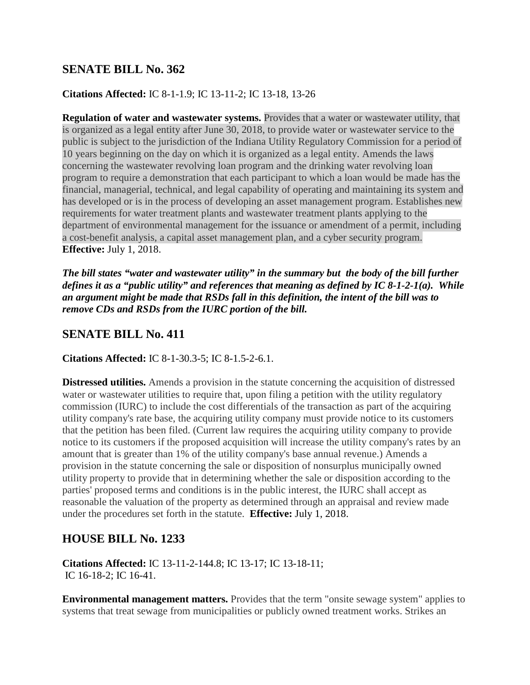## **SENATE BILL No. 362**

### **Citations Affected:** IC 8-1-1.9; IC 13-11-2; IC 13-18, 13-26

**Regulation of water and wastewater systems.** Provides that a water or wastewater utility, that is organized as a legal entity after June 30, 2018, to provide water or wastewater service to the public is subject to the jurisdiction of the Indiana Utility Regulatory Commission for a period of 10 years beginning on the day on which it is organized as a legal entity. Amends the laws concerning the wastewater revolving loan program and the drinking water revolving loan program to require a demonstration that each participant to which a loan would be made has the financial, managerial, technical, and legal capability of operating and maintaining its system and has developed or is in the process of developing an asset management program. Establishes new requirements for water treatment plants and wastewater treatment plants applying to the department of environmental management for the issuance or amendment of a permit, including a cost-benefit analysis, a capital asset management plan, and a cyber security program. **Effective:** July 1, 2018.

*The bill states "water and wastewater utility" in the summary but the body of the bill further defines it as a "public utility" and references that meaning as defined by IC 8-1-2-1(a). While an argument might be made that RSDs fall in this definition, the intent of the bill was to remove CDs and RSDs from the IURC portion of the bill.* 

## **SENATE BILL No. 411**

### **Citations Affected:** IC 8-1-30.3-5; IC 8-1.5-2-6.1.

**Distressed utilities.** Amends a provision in the statute concerning the acquisition of distressed water or wastewater utilities to require that, upon filing a petition with the utility regulatory commission (IURC) to include the cost differentials of the transaction as part of the acquiring utility company's rate base, the acquiring utility company must provide notice to its customers that the petition has been filed. (Current law requires the acquiring utility company to provide notice to its customers if the proposed acquisition will increase the utility company's rates by an amount that is greater than 1% of the utility company's base annual revenue.) Amends a provision in the statute concerning the sale or disposition of nonsurplus municipally owned utility property to provide that in determining whether the sale or disposition according to the parties' proposed terms and conditions is in the public interest, the IURC shall accept as reasonable the valuation of the property as determined through an appraisal and review made under the procedures set forth in the statute. **Effective:** July 1, 2018.

# **HOUSE BILL No. 1233**

**Citations Affected:** IC 13-11-2-144.8; IC 13-17; IC 13-18-11; IC 16-18-2; IC 16-41.

**Environmental management matters.** Provides that the term "onsite sewage system" applies to systems that treat sewage from municipalities or publicly owned treatment works. Strikes an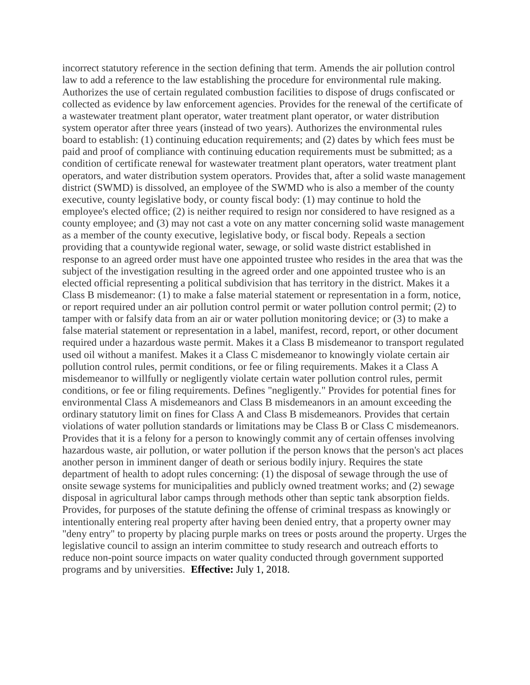incorrect statutory reference in the section defining that term. Amends the air pollution control law to add a reference to the law establishing the procedure for environmental rule making. Authorizes the use of certain regulated combustion facilities to dispose of drugs confiscated or collected as evidence by law enforcement agencies. Provides for the renewal of the certificate of a wastewater treatment plant operator, water treatment plant operator, or water distribution system operator after three years (instead of two years). Authorizes the environmental rules board to establish: (1) continuing education requirements; and (2) dates by which fees must be paid and proof of compliance with continuing education requirements must be submitted; as a condition of certificate renewal for wastewater treatment plant operators, water treatment plant operators, and water distribution system operators. Provides that, after a solid waste management district (SWMD) is dissolved, an employee of the SWMD who is also a member of the county executive, county legislative body, or county fiscal body: (1) may continue to hold the employee's elected office; (2) is neither required to resign nor considered to have resigned as a county employee; and (3) may not cast a vote on any matter concerning solid waste management as a member of the county executive, legislative body, or fiscal body. Repeals a section providing that a countywide regional water, sewage, or solid waste district established in response to an agreed order must have one appointed trustee who resides in the area that was the subject of the investigation resulting in the agreed order and one appointed trustee who is an elected official representing a political subdivision that has territory in the district. Makes it a Class B misdemeanor: (1) to make a false material statement or representation in a form, notice, or report required under an air pollution control permit or water pollution control permit; (2) to tamper with or falsify data from an air or water pollution monitoring device; or (3) to make a false material statement or representation in a label, manifest, record, report, or other document required under a hazardous waste permit. Makes it a Class B misdemeanor to transport regulated used oil without a manifest. Makes it a Class C misdemeanor to knowingly violate certain air pollution control rules, permit conditions, or fee or filing requirements. Makes it a Class A misdemeanor to willfully or negligently violate certain water pollution control rules, permit conditions, or fee or filing requirements. Defines "negligently." Provides for potential fines for environmental Class A misdemeanors and Class B misdemeanors in an amount exceeding the ordinary statutory limit on fines for Class A and Class B misdemeanors. Provides that certain violations of water pollution standards or limitations may be Class B or Class C misdemeanors. Provides that it is a felony for a person to knowingly commit any of certain offenses involving hazardous waste, air pollution, or water pollution if the person knows that the person's act places another person in imminent danger of death or serious bodily injury. Requires the state department of health to adopt rules concerning: (1) the disposal of sewage through the use of onsite sewage systems for municipalities and publicly owned treatment works; and (2) sewage disposal in agricultural labor camps through methods other than septic tank absorption fields. Provides, for purposes of the statute defining the offense of criminal trespass as knowingly or intentionally entering real property after having been denied entry, that a property owner may "deny entry" to property by placing purple marks on trees or posts around the property. Urges the legislative council to assign an interim committee to study research and outreach efforts to reduce non-point source impacts on water quality conducted through government supported programs and by universities. **Effective:** July 1, 2018.